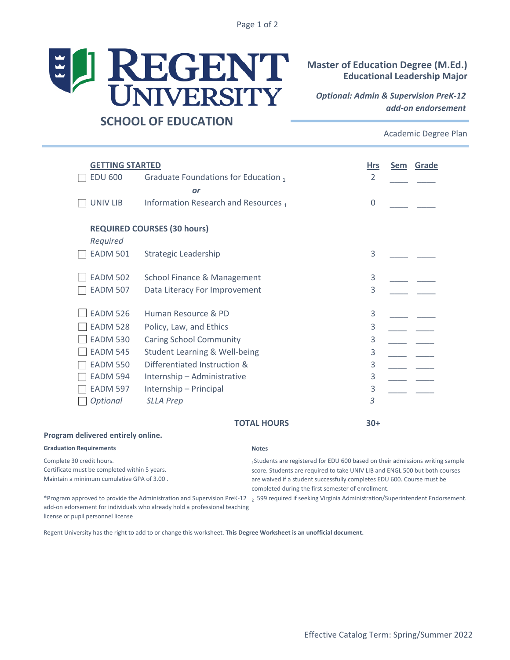Page 1 of 2



## **Master of Education Degree (M.Ed.) Educational Leadership Major**

*Optional: Admin & Supervision PreK-12 add-on endorsement*

## **SCHOOL OF EDUCATION**

Academic Degree Plan

| <b>GETTING STARTED</b>                                                                                                   |                                        |                                                                                                                                                                                                                                        | <b>Hrs</b>     | Sem | Grade |
|--------------------------------------------------------------------------------------------------------------------------|----------------------------------------|----------------------------------------------------------------------------------------------------------------------------------------------------------------------------------------------------------------------------------------|----------------|-----|-------|
| <b>EDU 600</b>                                                                                                           | Graduate Foundations for Education 1   |                                                                                                                                                                                                                                        | $\overline{2}$ |     |       |
|                                                                                                                          | or                                     |                                                                                                                                                                                                                                        |                |     |       |
| <b>UNIV LIB</b>                                                                                                          | Information Research and Resources 1   |                                                                                                                                                                                                                                        | $\mathbf 0$    |     |       |
| Required                                                                                                                 | <b>REQUIRED COURSES (30 hours)</b>     |                                                                                                                                                                                                                                        |                |     |       |
| <b>EADM 501</b>                                                                                                          | Strategic Leadership                   |                                                                                                                                                                                                                                        | 3              |     |       |
| <b>EADM 502</b>                                                                                                          | <b>School Finance &amp; Management</b> |                                                                                                                                                                                                                                        | 3              |     |       |
| <b>EADM 507</b>                                                                                                          | Data Literacy For Improvement          |                                                                                                                                                                                                                                        | 3              |     |       |
| <b>EADM 526</b>                                                                                                          | Human Resource & PD                    |                                                                                                                                                                                                                                        | 3              |     |       |
| <b>EADM 528</b>                                                                                                          | Policy, Law, and Ethics                |                                                                                                                                                                                                                                        | 3              |     |       |
| <b>EADM 530</b>                                                                                                          | <b>Caring School Community</b>         |                                                                                                                                                                                                                                        | 3              |     |       |
| <b>EADM 545</b>                                                                                                          | Student Learning & Well-being          |                                                                                                                                                                                                                                        | 3              |     |       |
| <b>EADM 550</b>                                                                                                          | Differentiated Instruction &           |                                                                                                                                                                                                                                        | 3              |     |       |
| <b>EADM 594</b>                                                                                                          | Internship - Administrative            |                                                                                                                                                                                                                                        | 3              |     |       |
| <b>EADM 597</b>                                                                                                          | Internship - Principal                 |                                                                                                                                                                                                                                        | 3              |     |       |
| Optional                                                                                                                 | <b>SLLA Prep</b>                       |                                                                                                                                                                                                                                        | 3              |     |       |
|                                                                                                                          |                                        | <b>TOTAL HOURS</b>                                                                                                                                                                                                                     | $30+$          |     |       |
| Program delivered entirely online.                                                                                       |                                        |                                                                                                                                                                                                                                        |                |     |       |
| <b>Graduation Requirements</b>                                                                                           |                                        | <b>Notes</b>                                                                                                                                                                                                                           |                |     |       |
| Complete 30 credit hours.<br>Certificate must be completed within 5 years.<br>Maintain a minimum cumulative GPA of 3.00. |                                        | 1Students are registered for EDU 600 based on their admissions writing sample<br>score. Students are required to take UNIV LIB and ENGL 500 but both courses<br>are waived if a student successfully completes EDU 600. Course must be |                |     |       |

add-on edorsement for individuals who already hold a professional teaching license or pupil personnel license

\*Program approved to provide the Administration and Supervision PreK-12 2 599 required if seeking Virginia Administration/Superintendent Endorsement.

completed during the first semester of enrollment.

Regent University has the right to add to or change this worksheet. **This Degree Worksheet is an unofficial document.**